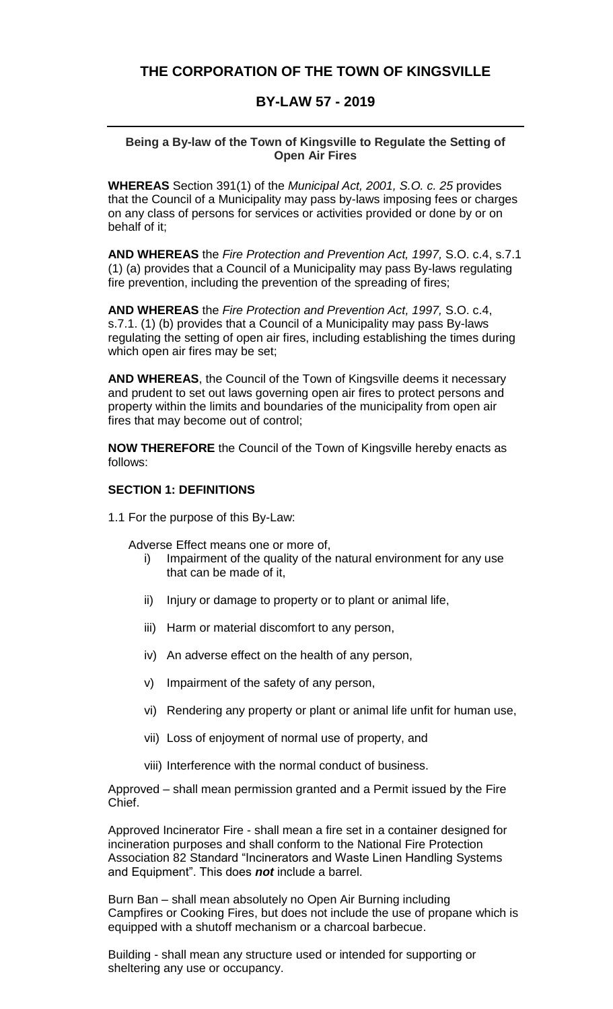# **THE CORPORATION OF THE TOWN OF KINGSVILLE**

## **BY-LAW 57 - 2019**

#### **Being a By-law of the Town of Kingsville to Regulate the Setting of Open Air Fires**

**WHEREAS** Section 391(1) of the *Municipal Act, 2001, S.O. c. 25* provides that the Council of a Municipality may pass by-laws imposing fees or charges on any class of persons for services or activities provided or done by or on behalf of it;

**AND WHEREAS** the *Fire Protection and Prevention Act, 1997,* S.O. c.4, s.7.1 (1) (a) provides that a Council of a Municipality may pass By-laws regulating fire prevention, including the prevention of the spreading of fires;

**AND WHEREAS** the *Fire Protection and Prevention Act, 1997,* S.O. c.4, s.7.1. (1) (b) provides that a Council of a Municipality may pass By-laws regulating the setting of open air fires, including establishing the times during which open air fires may be set;

**AND WHEREAS**, the Council of the Town of Kingsville deems it necessary and prudent to set out laws governing open air fires to protect persons and property within the limits and boundaries of the municipality from open air fires that may become out of control;

**NOW THEREFORE** the Council of the Town of Kingsville hereby enacts as follows:

## **SECTION 1: DEFINITIONS**

1.1 For the purpose of this By-Law:

Adverse Effect means one or more of,

- i) Impairment of the quality of the natural environment for any use that can be made of it,
- ii) Injury or damage to property or to plant or animal life,
- iii) Harm or material discomfort to any person,
- iv) An adverse effect on the health of any person,
- v) Impairment of the safety of any person,
- vi) Rendering any property or plant or animal life unfit for human use,
- vii) Loss of enjoyment of normal use of property, and
- viii) Interference with the normal conduct of business.

Approved – shall mean permission granted and a Permit issued by the Fire Chief.

Approved Incinerator Fire - shall mean a fire set in a container designed for incineration purposes and shall conform to the National Fire Protection Association 82 Standard "Incinerators and Waste Linen Handling Systems and Equipment". This does *not* include a barrel.

Burn Ban – shall mean absolutely no Open Air Burning including Campfires or Cooking Fires, but does not include the use of propane which is equipped with a shutoff mechanism or a charcoal barbecue.

Building - shall mean any structure used or intended for supporting or sheltering any use or occupancy.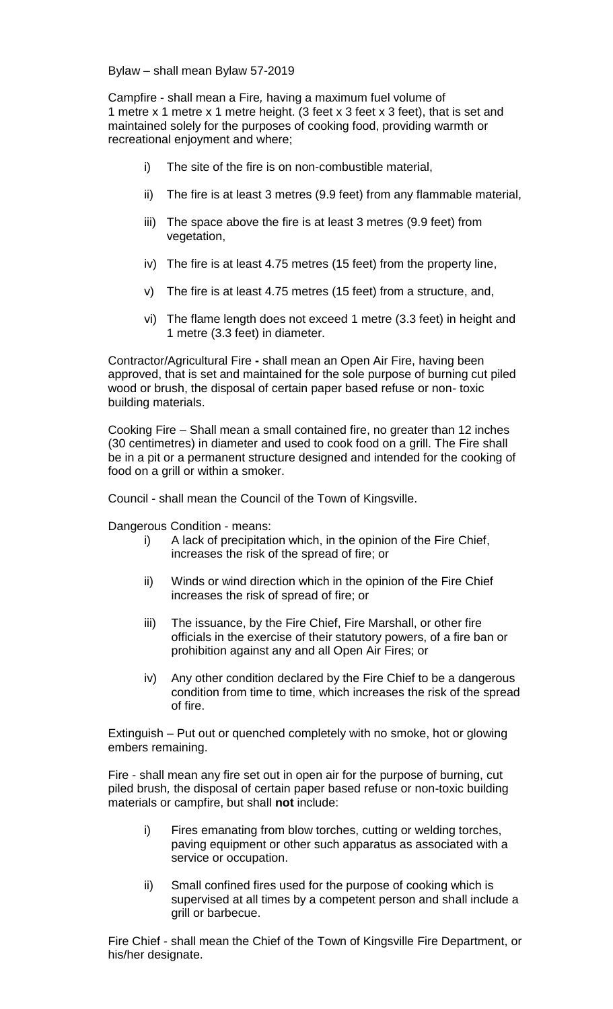Bylaw – shall mean Bylaw 57-2019

Campfire - shall mean a Fire*,* having a maximum fuel volume of 1 metre x 1 metre x 1 metre height. (3 feet x 3 feet x 3 feet), that is set and maintained solely for the purposes of cooking food, providing warmth or recreational enjoyment and where;

- i) The site of the fire is on non-combustible material,
- ii) The fire is at least 3 metres (9.9 feet) from any flammable material,
- iii) The space above the fire is at least 3 metres (9.9 feet) from vegetation,
- iv) The fire is at least 4.75 metres (15 feet) from the property line,
- v) The fire is at least 4.75 metres (15 feet) from a structure, and,
- vi) The flame length does not exceed 1 metre (3.3 feet) in height and 1 metre (3.3 feet) in diameter.

Contractor/Agricultural Fire **-** shall mean an Open Air Fire, having been approved, that is set and maintained for the sole purpose of burning cut piled wood or brush, the disposal of certain paper based refuse or non- toxic building materials.

Cooking Fire – Shall mean a small contained fire, no greater than 12 inches (30 centimetres) in diameter and used to cook food on a grill. The Fire shall be in a pit or a permanent structure designed and intended for the cooking of food on a grill or within a smoker.

Council - shall mean the Council of the Town of Kingsville.

Dangerous Condition - means:

- i) A lack of precipitation which, in the opinion of the Fire Chief, increases the risk of the spread of fire; or
- ii) Winds or wind direction which in the opinion of the Fire Chief increases the risk of spread of fire; or
- iii) The issuance, by the Fire Chief, Fire Marshall, or other fire officials in the exercise of their statutory powers, of a fire ban or prohibition against any and all Open Air Fires; or
- iv) Any other condition declared by the Fire Chief to be a dangerous condition from time to time, which increases the risk of the spread of fire.

Extinguish – Put out or quenched completely with no smoke, hot or glowing embers remaining.

Fire - shall mean any fire set out in open air for the purpose of burning, cut piled brush*,* the disposal of certain paper based refuse or non-toxic building materials or campfire, but shall **not** include:

- i) Fires emanating from blow torches, cutting or welding torches, paving equipment or other such apparatus as associated with a service or occupation.
- ii) Small confined fires used for the purpose of cooking which is supervised at all times by a competent person and shall include a grill or barbecue.

Fire Chief - shall mean the Chief of the Town of Kingsville Fire Department, or his/her designate.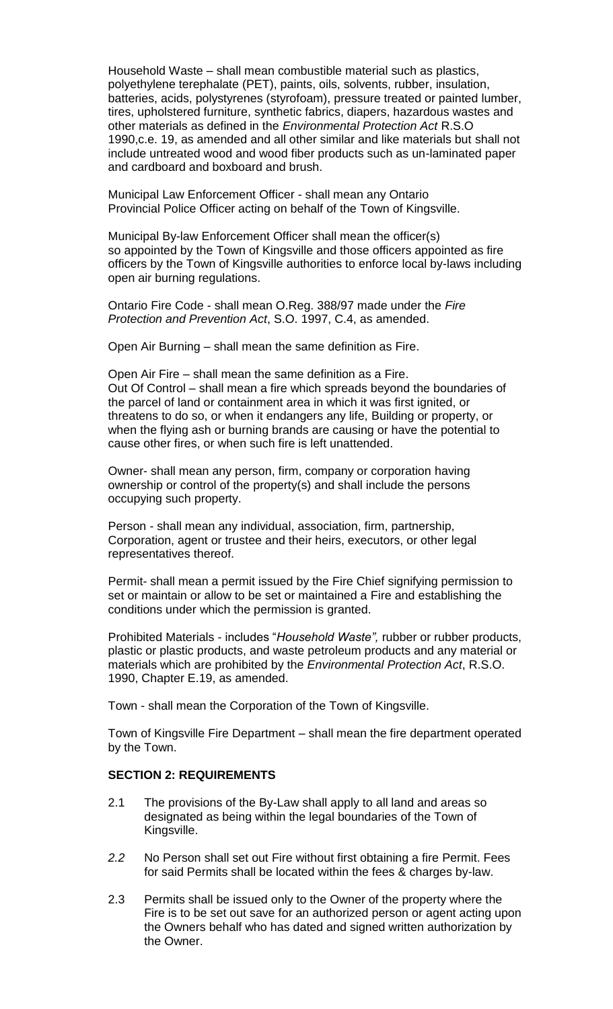Household Waste – shall mean combustible material such as plastics, polyethylene terephalate (PET), paints, oils, solvents, rubber, insulation, batteries, acids, polystyrenes (styrofoam), pressure treated or painted lumber, tires, upholstered furniture, synthetic fabrics, diapers, hazardous wastes and other materials as defined in the *Environmental Protection Act* R.S.O 1990,c.e. 19, as amended and all other similar and like materials but shall not include untreated wood and wood fiber products such as un-laminated paper and cardboard and boxboard and brush.

Municipal Law Enforcement Officer - shall mean any Ontario Provincial Police Officer acting on behalf of the Town of Kingsville.

Municipal By-law Enforcement Officer shall mean the officer(s) so appointed by the Town of Kingsville and those officers appointed as fire officers by the Town of Kingsville authorities to enforce local by-laws including open air burning regulations.

Ontario Fire Code - shall mean O.Reg. 388/97 made under the *Fire Protection and Prevention Act*, S.O. 1997, C.4, as amended.

Open Air Burning – shall mean the same definition as Fire.

Open Air Fire – shall mean the same definition as a Fire. Out Of Control – shall mean a fire which spreads beyond the boundaries of the parcel of land or containment area in which it was first ignited, or threatens to do so, or when it endangers any life, Building or property, or when the flying ash or burning brands are causing or have the potential to cause other fires, or when such fire is left unattended.

Owner- shall mean any person, firm, company or corporation having ownership or control of the property(s) and shall include the persons occupying such property.

Person - shall mean any individual, association, firm, partnership, Corporation, agent or trustee and their heirs, executors, or other legal representatives thereof.

Permit- shall mean a permit issued by the Fire Chief signifying permission to set or maintain or allow to be set or maintained a Fire and establishing the conditions under which the permission is granted.

Prohibited Materials - includes "*Household Waste",* rubber or rubber products, plastic or plastic products, and waste petroleum products and any material or materials which are prohibited by the *Environmental Protection Act*, R.S.O. 1990, Chapter E.19, as amended.

Town - shall mean the Corporation of the Town of Kingsville.

Town of Kingsville Fire Department – shall mean the fire department operated by the Town.

#### **SECTION 2: REQUIREMENTS**

- 2.1 The provisions of the By-Law shall apply to all land and areas so designated as being within the legal boundaries of the Town of Kingsville.
- *2.2* No Person shall set out Fire without first obtaining a fire Permit. Fees for said Permits shall be located within the fees & charges by-law.
- 2.3 Permits shall be issued only to the Owner of the property where the Fire is to be set out save for an authorized person or agent acting upon the Owners behalf who has dated and signed written authorization by the Owner.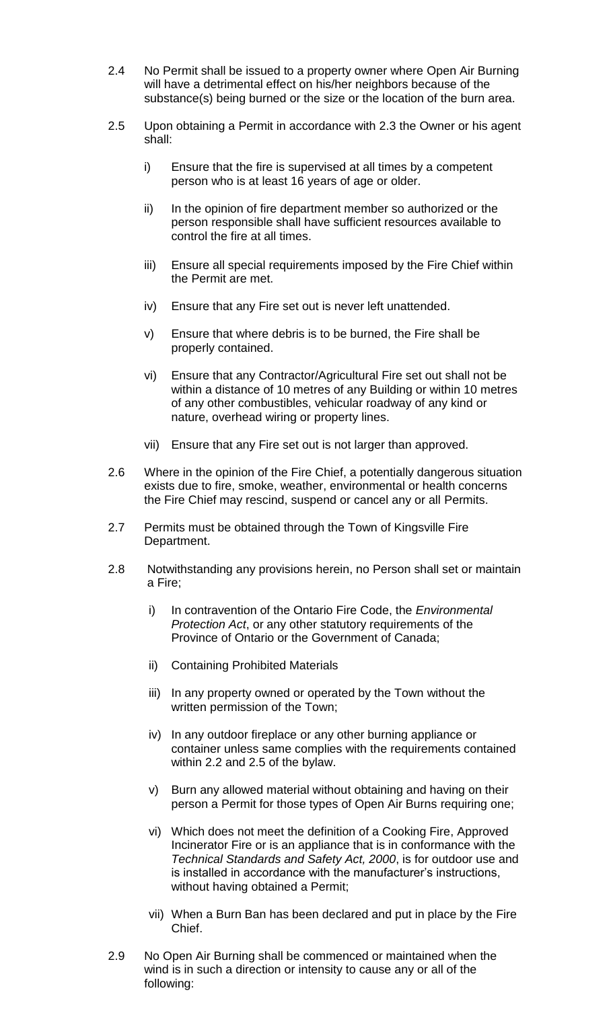- 2.4 No Permit shall be issued to a property owner where Open Air Burning will have a detrimental effect on his/her neighbors because of the substance(s) being burned or the size or the location of the burn area.
- 2.5 Upon obtaining a Permit in accordance with 2.3 the Owner or his agent shall:
	- i) Ensure that the fire is supervised at all times by a competent person who is at least 16 years of age or older.
	- ii) In the opinion of fire department member so authorized or the person responsible shall have sufficient resources available to control the fire at all times.
	- iii) Ensure all special requirements imposed by the Fire Chief within the Permit are met.
	- iv) Ensure that any Fire set out is never left unattended.
	- v) Ensure that where debris is to be burned, the Fire shall be properly contained.
	- vi) Ensure that any Contractor/Agricultural Fire set out shall not be within a distance of 10 metres of any Building or within 10 metres of any other combustibles, vehicular roadway of any kind or nature, overhead wiring or property lines.
	- vii) Ensure that any Fire set out is not larger than approved.
- 2.6 Where in the opinion of the Fire Chief, a potentially dangerous situation exists due to fire, smoke, weather, environmental or health concerns the Fire Chief may rescind, suspend or cancel any or all Permits.
- 2.7 Permits must be obtained through the Town of Kingsville Fire Department.
- 2.8 Notwithstanding any provisions herein, no Person shall set or maintain a Fire;
	- i) In contravention of the Ontario Fire Code, the *Environmental Protection Act*, or any other statutory requirements of the Province of Ontario or the Government of Canada;
	- ii) Containing Prohibited Materials
	- iii) In any property owned or operated by the Town without the written permission of the Town;
	- iv) In any outdoor fireplace or any other burning appliance or container unless same complies with the requirements contained within 2.2 and 2.5 of the bylaw.
	- v) Burn any allowed material without obtaining and having on their person a Permit for those types of Open Air Burns requiring one;
	- vi) Which does not meet the definition of a Cooking Fire, Approved Incinerator Fire or is an appliance that is in conformance with the *Technical Standards and Safety Act, 2000*, is for outdoor use and is installed in accordance with the manufacturer's instructions, without having obtained a Permit;
	- vii) When a Burn Ban has been declared and put in place by the Fire Chief.
- 2.9 No Open Air Burning shall be commenced or maintained when the wind is in such a direction or intensity to cause any or all of the following: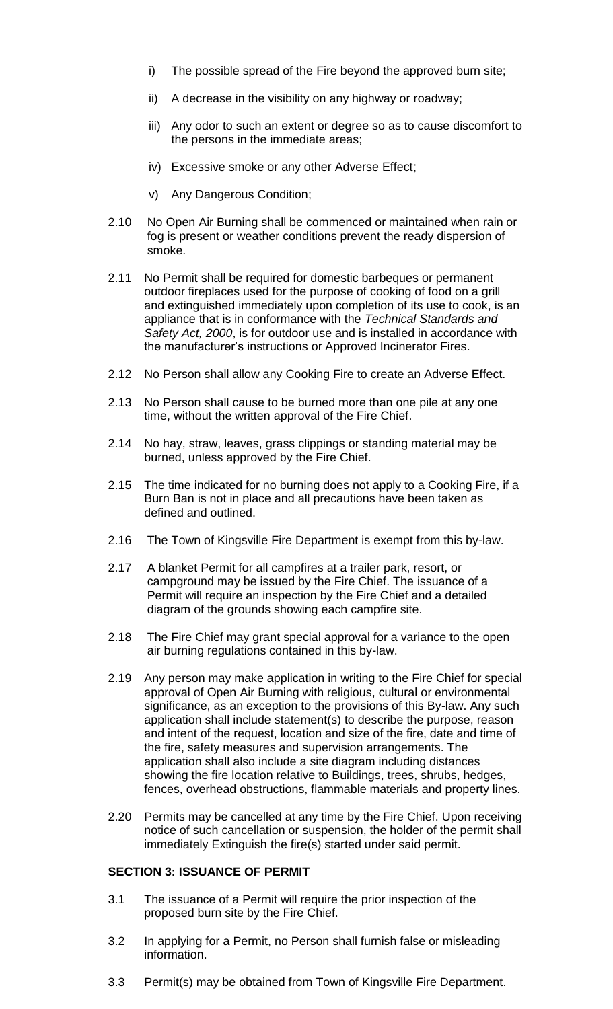- i) The possible spread of the Fire beyond the approved burn site;
- ii) A decrease in the visibility on any highway or roadway;
- iii) Any odor to such an extent or degree so as to cause discomfort to the persons in the immediate areas;
- iv) Excessive smoke or any other Adverse Effect;
- v) Any Dangerous Condition;
- 2.10 No Open Air Burning shall be commenced or maintained when rain or fog is present or weather conditions prevent the ready dispersion of smoke.
- 2.11 No Permit shall be required for domestic barbeques or permanent outdoor fireplaces used for the purpose of cooking of food on a grill and extinguished immediately upon completion of its use to cook, is an appliance that is in conformance with the *Technical Standards and Safety Act, 2000*, is for outdoor use and is installed in accordance with the manufacturer's instructions or Approved Incinerator Fires.
- 2.12 No Person shall allow any Cooking Fire to create an Adverse Effect.
- 2.13 No Person shall cause to be burned more than one pile at any one time, without the written approval of the Fire Chief.
- 2.14 No hay, straw, leaves, grass clippings or standing material may be burned, unless approved by the Fire Chief.
- 2.15 The time indicated for no burning does not apply to a Cooking Fire, if a Burn Ban is not in place and all precautions have been taken as defined and outlined.
- 2.16 The Town of Kingsville Fire Department is exempt from this by-law.
- 2.17 A blanket Permit for all campfires at a trailer park, resort, or campground may be issued by the Fire Chief. The issuance of a Permit will require an inspection by the Fire Chief and a detailed diagram of the grounds showing each campfire site.
- 2.18 The Fire Chief may grant special approval for a variance to the open air burning regulations contained in this by-law.
- 2.19 Any person may make application in writing to the Fire Chief for special approval of Open Air Burning with religious, cultural or environmental significance, as an exception to the provisions of this By-law. Any such application shall include statement(s) to describe the purpose, reason and intent of the request, location and size of the fire, date and time of the fire, safety measures and supervision arrangements. The application shall also include a site diagram including distances showing the fire location relative to Buildings, trees, shrubs, hedges, fences, overhead obstructions, flammable materials and property lines.
- 2.20 Permits may be cancelled at any time by the Fire Chief. Upon receiving notice of such cancellation or suspension, the holder of the permit shall immediately Extinguish the fire(s) started under said permit.

## **SECTION 3: ISSUANCE OF PERMIT**

- 3.1 The issuance of a Permit will require the prior inspection of the proposed burn site by the Fire Chief.
- 3.2 In applying for a Permit, no Person shall furnish false or misleading information.
- 3.3 Permit(s) may be obtained from Town of Kingsville Fire Department.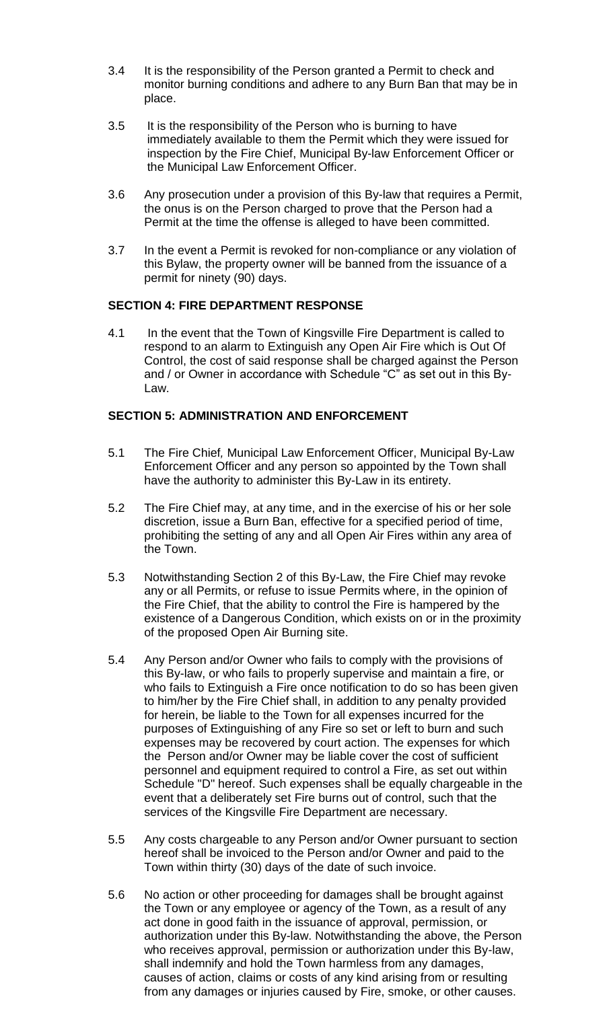- 3.4 It is the responsibility of the Person granted a Permit to check and monitor burning conditions and adhere to any Burn Ban that may be in place.
- 3.5 It is the responsibility of the Person who is burning to have immediately available to them the Permit which they were issued for inspection by the Fire Chief, Municipal By-law Enforcement Officer or the Municipal Law Enforcement Officer.
- 3.6 Any prosecution under a provision of this By-law that requires a Permit, the onus is on the Person charged to prove that the Person had a Permit at the time the offense is alleged to have been committed.
- 3.7 In the event a Permit is revoked for non-compliance or any violation of this Bylaw, the property owner will be banned from the issuance of a permit for ninety (90) days.

#### **SECTION 4: FIRE DEPARTMENT RESPONSE**

4.1 In the event that the Town of Kingsville Fire Department is called to respond to an alarm to Extinguish any Open Air Fire which is Out Of Control, the cost of said response shall be charged against the Person and / or Owner in accordance with Schedule "C" as set out in this By-Law.

## **SECTION 5: ADMINISTRATION AND ENFORCEMENT**

- 5.1 The Fire Chief*,* Municipal Law Enforcement Officer, Municipal By-Law Enforcement Officer and any person so appointed by the Town shall have the authority to administer this By-Law in its entirety.
- 5.2 The Fire Chief may, at any time, and in the exercise of his or her sole discretion, issue a Burn Ban, effective for a specified period of time, prohibiting the setting of any and all Open Air Fires within any area of the Town.
- 5.3 Notwithstanding Section 2 of this By-Law, the Fire Chief may revoke any or all Permits, or refuse to issue Permits where, in the opinion of the Fire Chief, that the ability to control the Fire is hampered by the existence of a Dangerous Condition, which exists on or in the proximity of the proposed Open Air Burning site.
- 5.4 Any Person and/or Owner who fails to comply with the provisions of this By-law, or who fails to properly supervise and maintain a fire, or who fails to Extinguish a Fire once notification to do so has been given to him/her by the Fire Chief shall, in addition to any penalty provided for herein, be liable to the Town for all expenses incurred for the purposes of Extinguishing of any Fire so set or left to burn and such expenses may be recovered by court action. The expenses for which the Person and/or Owner may be liable cover the cost of sufficient personnel and equipment required to control a Fire, as set out within Schedule "D" hereof. Such expenses shall be equally chargeable in the event that a deliberately set Fire burns out of control, such that the services of the Kingsville Fire Department are necessary.
- 5.5 Any costs chargeable to any Person and/or Owner pursuant to section hereof shall be invoiced to the Person and/or Owner and paid to the Town within thirty (30) days of the date of such invoice.
- 5.6 No action or other proceeding for damages shall be brought against the Town or any employee or agency of the Town, as a result of any act done in good faith in the issuance of approval, permission, or authorization under this By-law. Notwithstanding the above, the Person who receives approval, permission or authorization under this By-law, shall indemnify and hold the Town harmless from any damages, causes of action, claims or costs of any kind arising from or resulting from any damages or injuries caused by Fire, smoke, or other causes.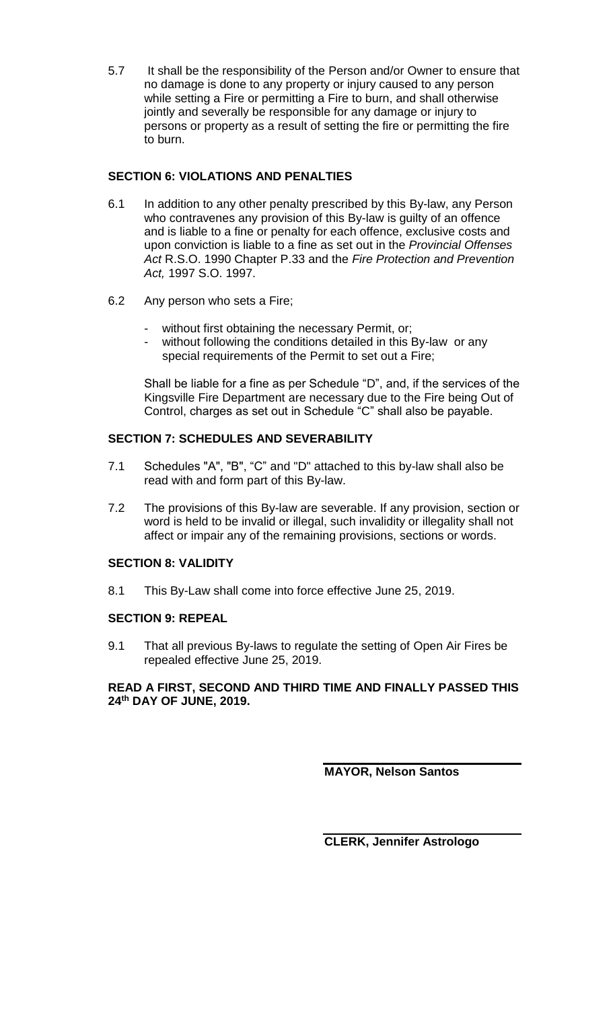5.7 It shall be the responsibility of the Person and/or Owner to ensure that no damage is done to any property or injury caused to any person while setting a Fire or permitting a Fire to burn, and shall otherwise jointly and severally be responsible for any damage or injury to persons or property as a result of setting the fire or permitting the fire to burn.

## **SECTION 6: VIOLATIONS AND PENALTIES**

- 6.1 In addition to any other penalty prescribed by this By-law, any Person who contravenes any provision of this By-law is guilty of an offence and is liable to a fine or penalty for each offence, exclusive costs and upon conviction is liable to a fine as set out in the *Provincial Offenses Act* R.S.O. 1990 Chapter P.33 and the *Fire Protection and Prevention Act,* 1997 S.O. 1997.
- 6.2 Any person who sets a Fire;
	- without first obtaining the necessary Permit, or;
	- without following the conditions detailed in this By-law or any special requirements of the Permit to set out a Fire;

Shall be liable for a fine as per Schedule "D", and, if the services of the Kingsville Fire Department are necessary due to the Fire being Out of Control, charges as set out in Schedule "C" shall also be payable.

# **SECTION 7: SCHEDULES AND SEVERABILITY**

- 7.1 Schedules "A", "B", "C" and "D" attached to this by-law shall also be read with and form part of this By-law.
- 7.2 The provisions of this By-law are severable. If any provision, section or word is held to be invalid or illegal, such invalidity or illegality shall not affect or impair any of the remaining provisions, sections or words.

# **SECTION 8: VALIDITY**

8.1 This By-Law shall come into force effective June 25, 2019.

## **SECTION 9: REPEAL**

9.1 That all previous By-laws to regulate the setting of Open Air Fires be repealed effective June 25, 2019.

## **READ A FIRST, SECOND AND THIRD TIME AND FINALLY PASSED THIS 24 th DAY OF JUNE, 2019.**

**MAYOR, Nelson Santos**

**CLERK, Jennifer Astrologo**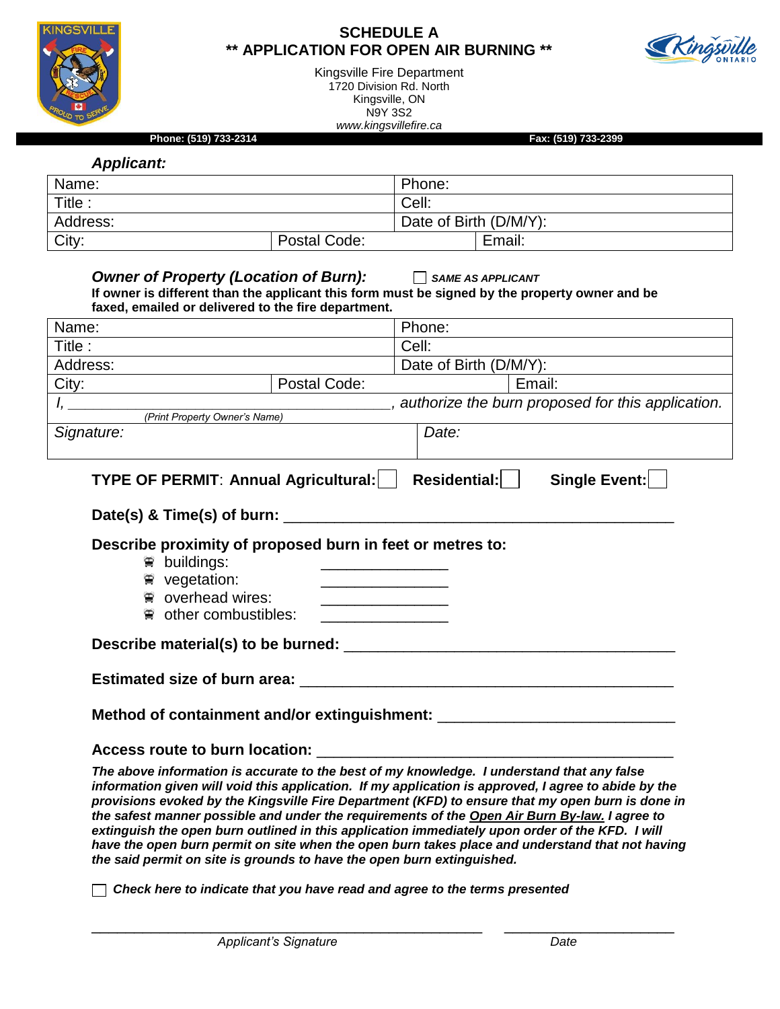

#### **SCHEDULE A \*\* APPLICATION FOR OPEN AIR BURNING \*\***



Kingsville Fire Department 1720 Division Rd. North Kingsville, ON N9Y 3S2 *www.kingsvillefire.ca*

**Phone: (519) 733-2314 Fax: (519) 733-2399**

*Applicant:*

| Applicant. |              |                        |        |
|------------|--------------|------------------------|--------|
| Name:      |              | Phone:                 |        |
| Title:     |              | Cell:                  |        |
| Address:   |              | Date of Birth (D/M/Y): |        |
| City:      | Postal Code: |                        | Email: |

| Owner of Property (Location of Burn): $\Box$ SAME AS APPLICANT                                                                                        |  |                                                                                                |  |  |  |
|-------------------------------------------------------------------------------------------------------------------------------------------------------|--|------------------------------------------------------------------------------------------------|--|--|--|
| faxed, emailed or delivered to the fire department.                                                                                                   |  | If owner is different than the applicant this form must be signed by the property owner and be |  |  |  |
| Name:                                                                                                                                                 |  | Phone:                                                                                         |  |  |  |
| Title :                                                                                                                                               |  | Cell:                                                                                          |  |  |  |
| Address:                                                                                                                                              |  | Date of Birth (D/M/Y):                                                                         |  |  |  |
| City: <b>Postal Code:</b>                                                                                                                             |  | Email:                                                                                         |  |  |  |
|                                                                                                                                                       |  |                                                                                                |  |  |  |
|                                                                                                                                                       |  |                                                                                                |  |  |  |
| Signature:                                                                                                                                            |  | Date:                                                                                          |  |  |  |
| Describe proximity of proposed burn in feet or metres to:<br><b>■ buildings:</b><br>₩ vegetation:<br>overhead wires:<br>$\bullet$ other combustibles: |  | <u> 1980 - Johann Barbara, martxa al III-lea (h. 1976).</u>                                    |  |  |  |
|                                                                                                                                                       |  |                                                                                                |  |  |  |
|                                                                                                                                                       |  | Method of containment and/or extinguishment: ___________________________________               |  |  |  |
|                                                                                                                                                       |  |                                                                                                |  |  |  |
|                                                                                                                                                       |  | The above information is accurate to the best of my knowledge. I understand that any false     |  |  |  |

*information given will void this application. If my application is approved, I agree to abide by the provisions evoked by the Kingsville Fire Department (KFD) to ensure that my open burn is done in the safest manner possible and under the requirements of the Open Air Burn By-law. I agree to extinguish the open burn outlined in this application immediately upon order of the KFD. I will have the open burn permit on site when the open burn takes place and understand that not having the said permit on site is grounds to have the open burn extinguished.*

*Check here to indicate that you have read and agree to the terms presented*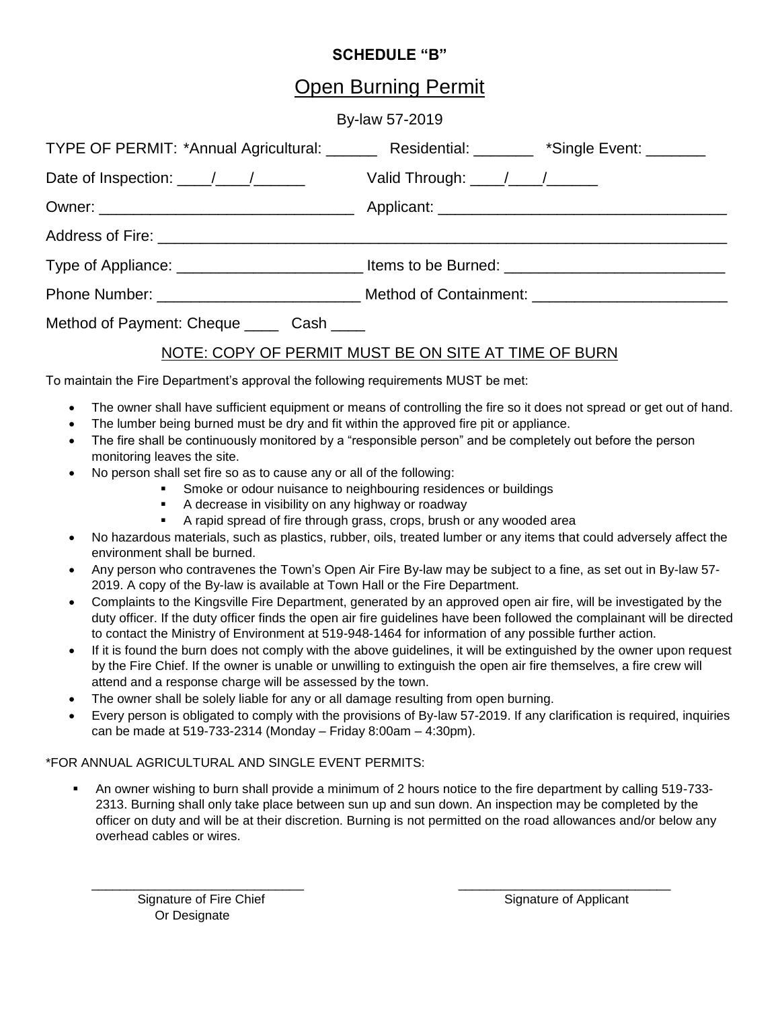## **SCHEDULE "B"**

# Open Burning Permit

#### By-law 57-2019

| TYPE OF PERMIT: *Annual Agricultural: _______ Residential: _______ *Single Event: ______ |  |  |  |  |
|------------------------------------------------------------------------------------------|--|--|--|--|
|                                                                                          |  |  |  |  |
|                                                                                          |  |  |  |  |
|                                                                                          |  |  |  |  |
|                                                                                          |  |  |  |  |
|                                                                                          |  |  |  |  |
| Method of Payment: Cheque _____ Cash ____                                                |  |  |  |  |
| NOTE: COPY OF PERMIT MUST BE ON SITE AT TIME OF BURN                                     |  |  |  |  |

To maintain the Fire Department's approval the following requirements MUST be met:

- The owner shall have sufficient equipment or means of controlling the fire so it does not spread or get out of hand.
- The lumber being burned must be dry and fit within the approved fire pit or appliance.
- The fire shall be continuously monitored by a "responsible person" and be completely out before the person monitoring leaves the site.
- No person shall set fire so as to cause any or all of the following:
	- **Smoke or odour nuisance to neighbouring residences or buildings**
	- A decrease in visibility on any highway or roadway
	- A rapid spread of fire through grass, crops, brush or any wooded area
- No hazardous materials, such as plastics, rubber, oils, treated lumber or any items that could adversely affect the environment shall be burned.
- Any person who contravenes the Town's Open Air Fire By-law may be subject to a fine, as set out in By-law 57- 2019. A copy of the By-law is available at Town Hall or the Fire Department.
- Complaints to the Kingsville Fire Department, generated by an approved open air fire, will be investigated by the duty officer. If the duty officer finds the open air fire guidelines have been followed the complainant will be directed to contact the Ministry of Environment at 519-948-1464 for information of any possible further action.
- If it is found the burn does not comply with the above guidelines, it will be extinguished by the owner upon request by the Fire Chief. If the owner is unable or unwilling to extinguish the open air fire themselves, a fire crew will attend and a response charge will be assessed by the town.
- The owner shall be solely liable for any or all damage resulting from open burning.
- Every person is obligated to comply with the provisions of By-law 57-2019. If any clarification is required, inquiries can be made at 519-733-2314 (Monday – Friday 8:00am – 4:30pm).

#### \*FOR ANNUAL AGRICULTURAL AND SINGLE EVENT PERMITS:

 An owner wishing to burn shall provide a minimum of 2 hours notice to the fire department by calling 519-733- 2313. Burning shall only take place between sun up and sun down. An inspection may be completed by the officer on duty and will be at their discretion. Burning is not permitted on the road allowances and/or below any overhead cables or wires.

 $\frac{1}{2}$  ,  $\frac{1}{2}$  ,  $\frac{1}{2}$  ,  $\frac{1}{2}$  ,  $\frac{1}{2}$  ,  $\frac{1}{2}$  ,  $\frac{1}{2}$  ,  $\frac{1}{2}$  ,  $\frac{1}{2}$  ,  $\frac{1}{2}$  ,  $\frac{1}{2}$  ,  $\frac{1}{2}$  ,  $\frac{1}{2}$  ,  $\frac{1}{2}$  ,  $\frac{1}{2}$  ,  $\frac{1}{2}$  ,  $\frac{1}{2}$  ,  $\frac{1}{2}$  ,  $\frac{1$ 

Signature of Fire Chief Signature of Applicant Or Designate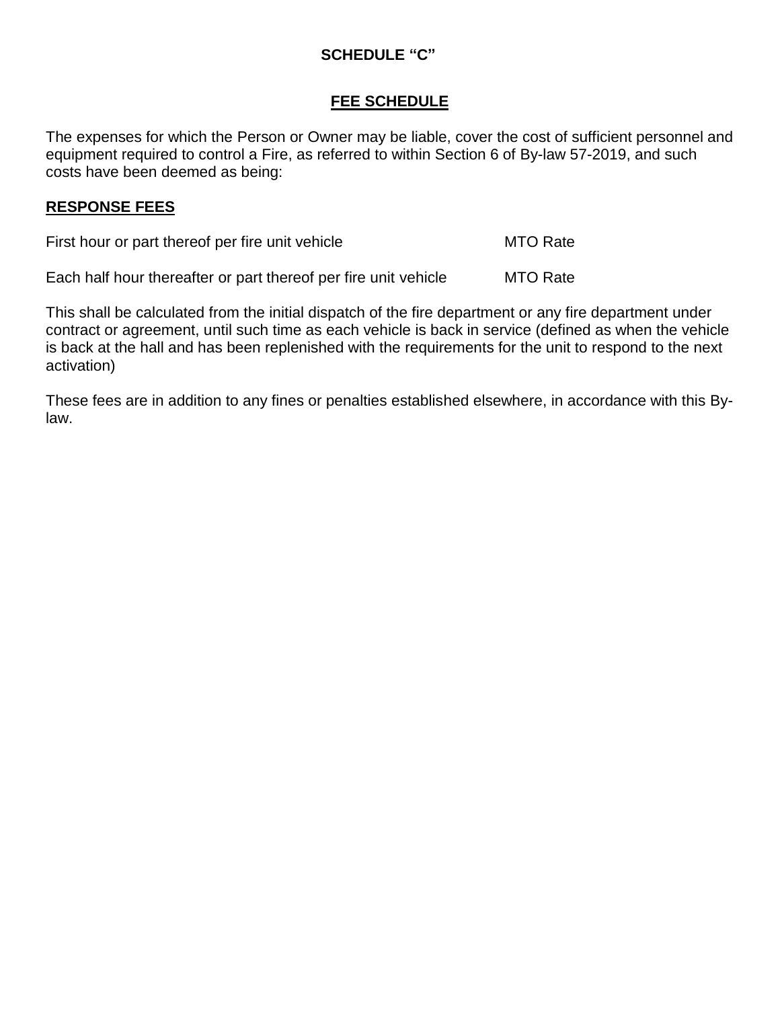## **SCHEDULE "C"**

#### **FEE SCHEDULE**

The expenses for which the Person or Owner may be liable, cover the cost of sufficient personnel and equipment required to control a Fire, as referred to within Section 6 of By-law 57-2019, and such costs have been deemed as being:

#### **RESPONSE FEES**

First hour or part thereof per fire unit vehicle MTO Rate

Each half hour thereafter or part thereof per fire unit vehicle MTO Rate

This shall be calculated from the initial dispatch of the fire department or any fire department under contract or agreement, until such time as each vehicle is back in service (defined as when the vehicle is back at the hall and has been replenished with the requirements for the unit to respond to the next activation)

These fees are in addition to any fines or penalties established elsewhere, in accordance with this Bylaw.